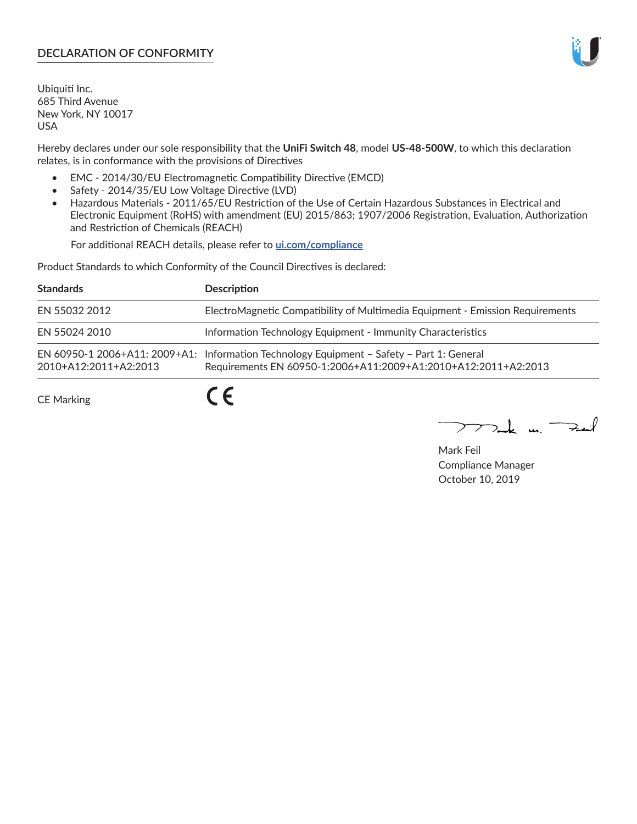## **DECLARATION OF CONFORMITY**

Ubiquiti Inc. 685 Third Avenue New York, NY 10017 USA

Hereby declares under our sole responsibility that the **UniFi Switch 48**, model **US-48-500W**, to which this declaration relates, is in conformance with the provisions of Directives

- EMC 2014/30/EU Electromagnetic Compatibility Directive (EMCD)
- Safety 2014/35/EU Low Voltage Directive (LVD)
- Hazardous Materials 2011/65/EU Restriction of the Use of Certain Hazardous Substances in Electrical and Electronic Equipment (RoHS) with amendment (EU) 2015/863; 1907/2006 Registration, Evaluation, Authorization and Restriction of Chemicals (REACH)

For additional REACH details, please refer to **[ui.com/compliance](https://dl.ui.com/compliance/REACH_Compliance_Declaration.pdf)**

Product Standards to which Conformity of the Council Directives is declared:

| <b>Standards</b>      | <b>Description</b>                                                                                                                                          |
|-----------------------|-------------------------------------------------------------------------------------------------------------------------------------------------------------|
| EN 55032 2012         | ElectroMagnetic Compatibility of Multimedia Equipment - Emission Requirements                                                                               |
| EN 55024 2010         | Information Technology Equipment - Immunity Characteristics                                                                                                 |
| 2010+A12:2011+A2:2013 | EN 60950-1 2006+A11: 2009+A1: Information Technology Equipment - Safety - Part 1: General<br>Requirements EN 60950-1:2006+A11:2009+A1:2010+A12:2011+A2:2013 |
| <b>CE Marking</b>     |                                                                                                                                                             |

Mak m. Fuil

Mark Feil Compliance Manager October 10, 2019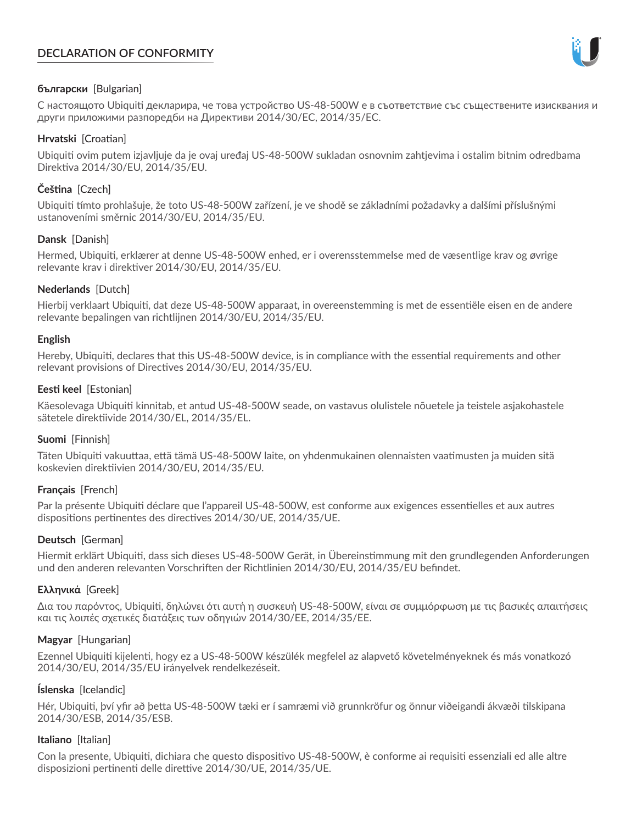# **DECLARATION OF CONFORMITY**



## **български** [Bulgarian]

С настоящото Ubiquiti декларира, че това устройство US-48-500W е в съответствие със съществените изисквания и други приложими разпоредби на Директиви 2014/30/ЕС, 2014/35/ЕС.

## **Hrvatski** [Croatian]

Ubiquiti ovim putem izjavljuje da je ovaj uređaj US-48-500W sukladan osnovnim zahtjevima i ostalim bitnim odredbama Direktiva 2014/30/EU, 2014/35/EU.

# **Čeština** [Czech]

Ubiquiti tímto prohlašuje, že toto US-48-500W zařízení, je ve shodě se základními požadavky a dalšími příslušnými ustanoveními směrnic 2014/30/EU, 2014/35/EU.

## **Dansk** [Danish]

Hermed, Ubiquiti, erklærer at denne US-48-500W enhed, er i overensstemmelse med de væsentlige krav og øvrige relevante krav i direktiver 2014/30/EU, 2014/35/EU.

## **Nederlands** [Dutch]

Hierbij verklaart Ubiquiti, dat deze US-48-500W apparaat, in overeenstemming is met de essentiële eisen en de andere relevante bepalingen van richtlijnen 2014/30/EU, 2014/35/EU.

### **English**

Hereby, Ubiquiti, declares that this US-48-500W device, is in compliance with the essential requirements and other relevant provisions of Directives 2014/30/EU, 2014/35/EU.

## **Eesti keel** [Estonian]

Käesolevaga Ubiquiti kinnitab, et antud US-48-500W seade, on vastavus olulistele nõuetele ja teistele asjakohastele sätetele direktiivide 2014/30/EL, 2014/35/EL.

### **Suomi** [Finnish]

Täten Ubiquiti vakuuttaa, että tämä US-48-500W laite, on yhdenmukainen olennaisten vaatimusten ja muiden sitä koskevien direktiivien 2014/30/EU, 2014/35/EU.

### **Français** [French]

Par la présente Ubiquiti déclare que l'appareil US-48-500W, est conforme aux exigences essentielles et aux autres dispositions pertinentes des directives 2014/30/UE, 2014/35/UE.

# **Deutsch** [German]

Hiermit erklärt Ubiquiti, dass sich dieses US-48-500W Gerät, in Übereinstimmung mit den grundlegenden Anforderungen und den anderen relevanten Vorschriften der Richtlinien 2014/30/EU, 2014/35/EU befindet.

# **Ελληνικά** [Greek]

Δια του παρόντος, Ubiquiti, δηλώνει ότι αυτή η συσκευή US-48-500W, είναι σε συμμόρφωση με τις βασικές απαιτήσεις και τις λοιπές σχετικές διατάξεις των οδηγιών 2014/30/EE, 2014/35/EE.

### **Magyar** [Hungarian]

Ezennel Ubiquiti kijelenti, hogy ez a US-48-500W készülék megfelel az alapvető követelményeknek és más vonatkozó 2014/30/EU, 2014/35/EU irányelvek rendelkezéseit.

### **Íslenska** [Icelandic]

Hér, Ubiquiti, því yfir að þetta US-48-500W tæki er í samræmi við grunnkröfur og önnur viðeigandi ákvæði tilskipana 2014/30/ESB, 2014/35/ESB.

### **Italiano** [Italian]

Con la presente, Ubiquiti, dichiara che questo dispositivo US-48-500W, è conforme ai requisiti essenziali ed alle altre disposizioni pertinenti delle direttive 2014/30/UE, 2014/35/UE.